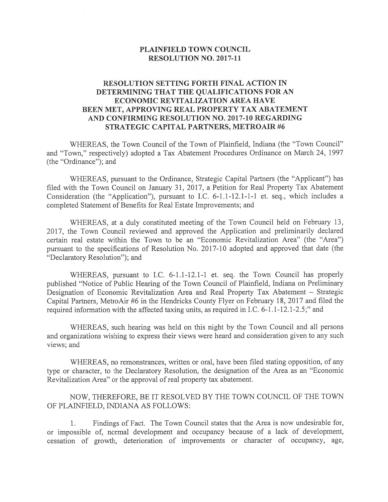### PLAINFIELD TOWN COUNCIL RESOLUTION NO. 2017-11

## RESOLUTION SETTING FORTH FINAL ACTION IN DETERMINING THAT THE QUALIFICATIONS FOR AN ECONOMIC REVITALIZATION AREA HAVE BEEN MET, APPROVING REAL PROPERTY TAX ABATEMENT AND CONFIRMING RESOLUTION NO. 2017-10 REGARDING STRATEGIC CAPITAL PARTNERS, METROAIR #6

WHEREAS, the Town Council of the Town of Plainfield, Indiana (the "Town Council" and "Town," respectively) adopted <sup>a</sup> Tax Abatement Procedures Ordinance on March 24, 1997 (the "Ordinance"); and

WHEREAS, pursuan<sup>t</sup> to the Ordinance, Strategic Capital Partners (the "Applicant") has filed with the Town Council on January 31, 2017, <sup>a</sup> Petition for Real Property Tax Abatement Consideration (the "Application"), pursuan<sup>t</sup> to I.C. 6-1.1-12.1-1-1 et. seq., which includes <sup>a</sup> completed Statement of Benefits for Real Estate Improvements; and

WHEREAS, at <sup>a</sup> duly constituted meeting of the Town Council held on February 13, 2017, the Town Council reviewed and approved the Application and preliminarily declared certain real estate within the Town to be an "Economic Revitalization Area" (the "Area") pursuan<sup>t</sup> to the specifications of Resolution No. 2017-10 adopted and approved that date (the "Declaratory Resolution"); and

WHEREAS, pursuan<sup>t</sup> to I.C. 6-1.1-12.1-1 et. seq. the Town Council has properly published "Notice of Public Hearing of the Town Council of Plainfield, Indiana on Preliminary Designation of Economic Revitalization Area and Real Property Tax Abatement — Strategic Capital Partners, MetroAir #6 in the Hendricks County Flyer on February 18, <sup>2017</sup> and filed the required information with the affected taxing units, as required in I.C. 6-1.1-12.1-2.5;" and

WHEREAS, such hearing was held on this night by the Town Council and all persons and organizations wishing to express their views were heard and consideration <sup>g</sup>iven to any such views; and

WHEREAS, no remonstrances, written or oral, have been filed stating opposition, of any type or character, to the Declaratory Resolution, the designation of the Area as an "Economic Revitalization Area" or the approval of real property tax abatement.

NOW, THEREFORE, BE IT RESOLVED BY THE TOWN COUNCIL OF THE TOWN OF PLAINFIELD, INDIANA AS FOLLOWS:

1. Findings of Fact. The Town Council states that the Area is now undesirable for, or impossible of, normal development and occupancy because of <sup>a</sup> lack of development, cessation of growth, deterioration of improvements or character of occupancy, age,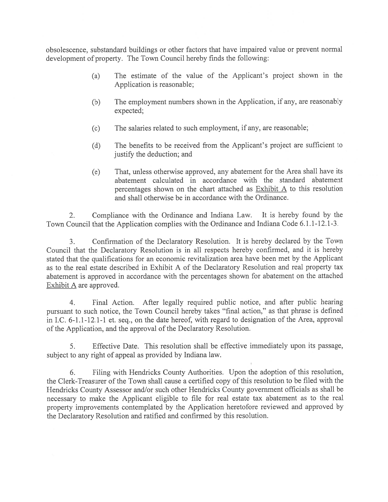obsolescence, substandard buildings or other factors that have impaired value or preven<sup>t</sup> normal development of property. The Town Council hereby finds the following:

- (a) The estimate of the value of the Applicant's project shown in the Application is reasonable;
- (b) The employment numbers shown in the Application, if any, are reasonably expected;
- (c) The salaries related to such employment, if any, are reasonable;
- (d) The benefits to be received from the Applicant's project are sufficient to justify the deduction; and
- (e) That, unless otherwise approved, any abatement for the Area shall have its abatement calculated in accordance with the standard abatement percentages shown on the chart attached as Exhibit <sup>A</sup> to this resolution and shall otherwise be in accordance with the Ordinance.

2. Compliance with the Ordinance and Indiana Law, it is hereby found by the Town Council that the Application complies with the Ordinance and Indiana Code 6.1.1-12.1-3.

3. Confirmation of the Declaratory Resolution. It is hereby declared by the Town Council that the Declaratory Resolution is in all respects hereby confirmed, and it is hereby stated that the qualifications for an economic revitalization area have been met by the Applicant as to the real estate described in Exhibit A of the Declaratory Resolution and real property tax abatement is approve<sup>d</sup> in accordance with the percentages shown for abatement on the attached Exhibit A are approved.

4. Final Action. After legally required public notice, and after public hearing pursuan<sup>t</sup> to such notice, the Town Council hereby takes "final action," as that <sup>p</sup>hrase is defined in I.C. 6-1.1-12.1-1 et. seq., on the date hereof, with regar<sup>d</sup> to designation of the Area, approva<sup>l</sup> of the Application, and the approval of the Declaratory Resolution.

5. Effective Date. This resolution shall be effective immediately upon its passage, subject to any right of appeal as provided by Indiana law.

6. Filing with Hendricks County Authorities. Upon the adoption of this resolution, the Clerk-Treasurer of the Town shall cause <sup>a</sup> certified copy of this resolution to be filed with the Hendricks County Assessor and/or such other Hendricks County governmen<sup>t</sup> officials as shall be necessary to make the Applicant eligible to file for real estate tax abatement as to the real property improvements contemplated by the Application heretofore reviewed and approve<sup>d</sup> by the Declaratory Resolution and ratified and confirmed by this resolution.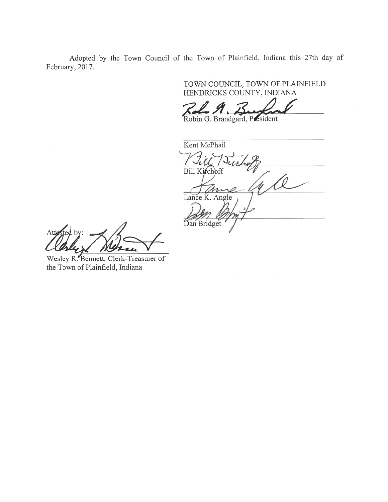Adopted by the Town Council of the Town of Plainfield, Indiana this 27th day of February, 2017.

> TOWN COUNCIL, TOWN OF PLATNFIELD HENDRICKS COUNTY, INDIANA

at

Robin G. Brandgard, President

Kent McPhail Bill Kirchoff ance K. Angle Dan Bridget

Wesley R. Bennett, Clerk-Treasurer of the Town of Plainfield, Indiana